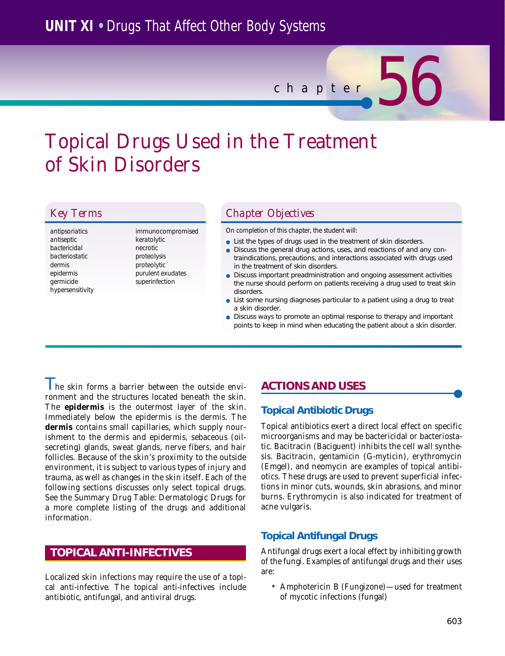*chapter* 5

# Topical Drugs Used in the Treatment of Skin Disorders

*antipsoriatics antiseptic bactericidal bacteriostatic dermis epidermis germicide hypersensitivity* *immunocompromised keratolytic necrotic proteolysis proteolytic purulent exudates superinfection*

# *Key Terms Chapter Objectives*

*On completion of this chapter, the student will:*

- List the types of drugs used in the treatment of skin disorders.
- Discuss the general drug actions, uses, and reactions of and any contraindications, precautions, and interactions associated with drugs used in the treatment of skin disorders.
- Discuss important preadministration and ongoing assessment activities the nurse should perform on patients receiving a drug used to treat skin disorders.
- List some nursing diagnoses particular to a patient using a drug to treat a skin disorder.
- Discuss ways to promote an optimal response to therapy and important points to keep in mind when educating the patient about a skin disorder.

I he skin forms a barrier between the outside environment and the structures located beneath the skin. The **epidermis** is the outermost layer of the skin. Immediately below the epidermis is the dermis. The **dermis** contains small capillaries, which supply nourishment to the dermis and epidermis, sebaceous (oilsecreting) glands, sweat glands, nerve fibers, and hair follicles. Because of the skin's proximity to the outside environment, it is subject to various types of injury and trauma, as well as changes in the skin itself. Each of the following sections discusses only select topical drugs. See the Summary Drug Table: Dermatologic Drugs for a more complete listing of the drugs and additional information.

# **TOPICAL ANTI-INFECTIVES**

Localized skin infections may require the use of a topical anti-infective. The topical anti-infectives include antibiotic, antifungal, and antiviral drugs.

# **ACTIONS AND USES**

#### **Topical Antibiotic Drugs**

Topical antibiotics exert a direct local effect on specific microorganisms and may be bactericidal or bacteriostatic. Bacitracin (Baciguent) inhibits the cell wall synthesis. Bacitracin, gentamicin (G-myticin), erythromycin (Emgel), and neomycin are examples of topical antibiotics. These drugs are used to prevent superficial infections in minor cuts, wounds, skin abrasions, and minor burns. Erythromycin is also indicated for treatment of acne vulgaris.

# **Topical Antifungal Drugs**

Antifungal drugs exert a local effect by inhibiting growth of the fungi. Examples of antifungal drugs and their uses are:

• Amphotericin B (Fungizone)—used for treatment of mycotic infections (fungal)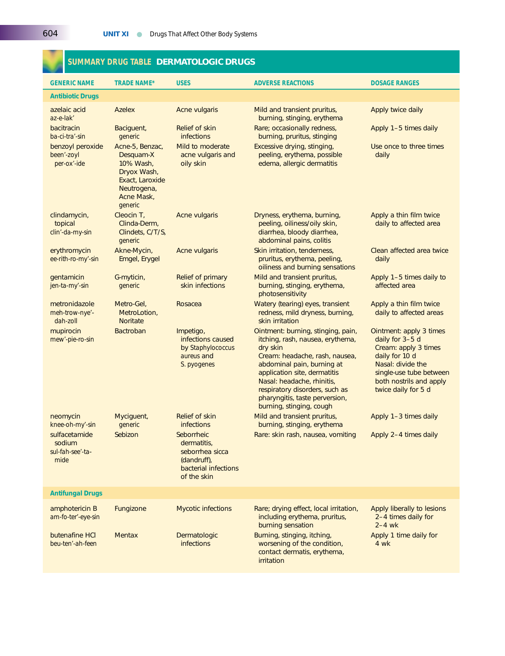# **SUMMARY DRUG TABLE DERMATOLOGIC DRUGS**

| <b>GENERIC NAME</b>                                 | <b>TRADE NAME*</b>                                                                                                  | <b>USES</b>                                                                                        | <b>ADVERSE REACTIONS</b>                                                                                                                                                                                                                                                                                         | <b>DOSAGE RANGES</b>                                                                                                                                                                   |
|-----------------------------------------------------|---------------------------------------------------------------------------------------------------------------------|----------------------------------------------------------------------------------------------------|------------------------------------------------------------------------------------------------------------------------------------------------------------------------------------------------------------------------------------------------------------------------------------------------------------------|----------------------------------------------------------------------------------------------------------------------------------------------------------------------------------------|
| <b>Antibiotic Drugs</b>                             |                                                                                                                     |                                                                                                    |                                                                                                                                                                                                                                                                                                                  |                                                                                                                                                                                        |
| azelaic acid<br>az-e-lak'                           | <b>Azelex</b>                                                                                                       | <b>Acne vulgaris</b>                                                                               | Mild and transient pruritus,<br>burning, stinging, erythema                                                                                                                                                                                                                                                      | Apply twice daily                                                                                                                                                                      |
| bacitracin<br>ba-ci-tra'-sin                        | Baciguent,<br>generic                                                                                               | <b>Relief of skin</b><br><b>infections</b>                                                         | Rare; occasionally redness,<br>burning, pruritus, stinging                                                                                                                                                                                                                                                       | Apply 1-5 times daily                                                                                                                                                                  |
| benzoyl peroxide<br>been'-zoyl<br>per-ox'-ide       | Acne-5, Benzac,<br>Desquam-X<br>10% Wash,<br>Dryox Wash,<br>Exact, Laroxide<br>Neutrogena,<br>Acne Mask,<br>generic | Mild to moderate<br>acne vulgaris and<br>oily skin                                                 | Excessive drying, stinging,<br>peeling, erythema, possible<br>edema, allergic dermatitis                                                                                                                                                                                                                         | Use once to three times<br>daily                                                                                                                                                       |
| clindamycin,<br>topical<br>clin'-da-my-sin          | Cleocin T,<br>Clinda-Derm,<br>Clindets, C/T/S,<br>generic                                                           | Acne vulgaris                                                                                      | Dryness, erythema, burning,<br>peeling, oiliness/oily skin,<br>diarrhea, bloody diarrhea,<br>abdominal pains, colitis                                                                                                                                                                                            | Apply a thin film twice<br>daily to affected area                                                                                                                                      |
| erythromycin<br>ee-rith-ro-my'-sin                  | Akne-Mycin,<br>Emgel, Erygel                                                                                        | <b>Acne vulgaris</b>                                                                               | Skin irritation, tenderness,<br>pruritus, erythema, peeling,<br>oiliness and burning sensations                                                                                                                                                                                                                  | Clean affected area twice<br>daily                                                                                                                                                     |
| gentamicin<br>jen-ta-my'-sin                        | G-myticin,<br>generic                                                                                               | Relief of primary<br>skin infections                                                               | Mild and transient pruritus,<br>burning, stinging, erythema,<br>photosensitivity                                                                                                                                                                                                                                 | Apply 1-5 times daily to<br>affected area                                                                                                                                              |
| metronidazole<br>meh-trow-nye'-<br>dah-zoll         | Metro-Gel.<br>MetroLotion,<br><b>Noritate</b>                                                                       | Rosacea                                                                                            | Watery (tearing) eyes, transient<br>redness, mild dryness, burning,<br>skin irritation                                                                                                                                                                                                                           | Apply a thin film twice<br>daily to affected areas                                                                                                                                     |
| mupirocin<br>mew'-pie-ro-sin                        | <b>Bactroban</b>                                                                                                    | Impetigo,<br>infections caused<br>by Staphylococcus<br>aureus and<br>S. pyogenes                   | Ointment: burning, stinging, pain,<br>itching, rash, nausea, erythema,<br>dry skin<br>Cream: headache, rash, nausea,<br>abdominal pain, burning at<br>application site, dermatitis<br>Nasal: headache, rhinitis,<br>respiratory disorders, such as<br>pharyngitis, taste perversion,<br>burning, stinging, cough | Ointment: apply 3 times<br>daily for 3-5 d<br>Cream: apply 3 times<br>daily for 10 d<br>Nasal: divide the<br>single-use tube between<br>both nostrils and apply<br>twice daily for 5 d |
| neomycin<br>knee-oh-my'-sin                         | Myciguent,<br>generic<br>Sebizon                                                                                    | <b>Relief of skin</b><br><b>infections</b>                                                         | Mild and transient pruritus,<br>burning, stinging, erythema                                                                                                                                                                                                                                                      | Apply 1-3 times daily                                                                                                                                                                  |
| sulfacetamide<br>sodium<br>sul-fah-see'-ta-<br>mide |                                                                                                                     | Seborrheic<br>dermatitis,<br>seborrhea sicca<br>(dandruff),<br>bacterial infections<br>of the skin | Rare: skin rash, nausea, vomiting                                                                                                                                                                                                                                                                                | Apply 2-4 times daily                                                                                                                                                                  |
| <b>Antifungal Drugs</b>                             |                                                                                                                     |                                                                                                    |                                                                                                                                                                                                                                                                                                                  |                                                                                                                                                                                        |
| amphotericin B<br>am-fo-ter'-eye-sin                | Fungizone                                                                                                           | <b>Mycotic infections</b>                                                                          | Rare; drying effect, local irritation,<br>including erythema, pruritus,<br>burning sensation                                                                                                                                                                                                                     | Apply liberally to lesions<br>2-4 times daily for<br>$2-4$ wk                                                                                                                          |
| butenafine HCI<br>beu-ten'-ah-feen                  | <b>Mentax</b>                                                                                                       | Dermatologic<br><b>infections</b>                                                                  | Burning, stinging, itching,<br>worsening of the condition,<br>contact dermatis, erythema,<br>irritation                                                                                                                                                                                                          | Apply 1 time daily for<br>4 wk                                                                                                                                                         |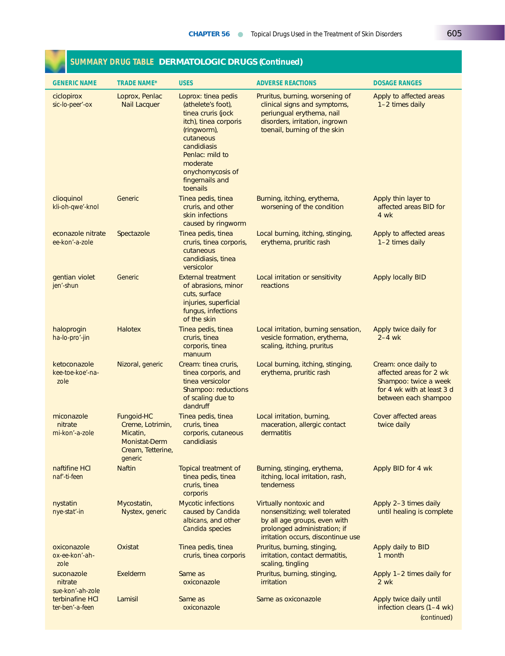|                                           |                                                                                             | <u>JUMMARI DRUG IADLE DERIMATULUGIU DRUGJ (COMMOGO)</u>                                                                                                                                                               |                                                                                                                                                                |                                                                                                                                |
|-------------------------------------------|---------------------------------------------------------------------------------------------|-----------------------------------------------------------------------------------------------------------------------------------------------------------------------------------------------------------------------|----------------------------------------------------------------------------------------------------------------------------------------------------------------|--------------------------------------------------------------------------------------------------------------------------------|
| <b>GENERIC NAME</b>                       | <b>TRADE NAME*</b>                                                                          | <b>USES</b>                                                                                                                                                                                                           | <b>ADVERSE REACTIONS</b>                                                                                                                                       | <b>DOSAGE RANGES</b>                                                                                                           |
| ciclopirox<br>sic-lo-peer'-ox             | Loprox, Penlac<br><b>Nail Lacquer</b>                                                       | Loprox: tinea pedis<br>(athelete's foot),<br>tinea cruris (jock<br>itch), tinea corporis<br>(ringworm),<br>cutaneous<br>candidiasis<br>Penlac: mild to<br>moderate<br>onychomycosis of<br>fingernails and<br>toenails | Pruritus, burning, worsening of<br>clinical signs and symptoms,<br>periungual erythema, nail<br>disorders, irritation, ingrown<br>toenail, burning of the skin | Apply to affected areas<br>1-2 times daily                                                                                     |
| clioquinol<br>kli-oh-qwe'-knol            | Generic                                                                                     | Tinea pedis, tinea<br>cruris, and other<br>skin infections<br>caused by ringworm                                                                                                                                      | Burning, itching, erythema,<br>worsening of the condition                                                                                                      | Apply thin layer to<br>affected areas BID for<br>4 wk                                                                          |
| econazole nitrate<br>ee-kon'-a-zole       | Spectazole                                                                                  | Tinea pedis, tinea<br>cruris, tinea corporis,<br>cutaneous<br>candidiasis, tinea<br>versicolor                                                                                                                        | Local burning, itching, stinging,<br>erythema, pruritic rash                                                                                                   | Apply to affected areas<br>1-2 times daily                                                                                     |
| gentian violet<br>jen'-shun               | Generic                                                                                     | <b>External treatment</b><br>of abrasions, minor<br>cuts, surface<br>injuries, superficial<br>fungus, infections<br>of the skin                                                                                       | Local irritation or sensitivity<br>reactions                                                                                                                   | <b>Apply locally BID</b>                                                                                                       |
| haloprogin<br>ha-lo-pro'-jin              | <b>Halotex</b>                                                                              | Tinea pedis, tinea<br>cruris, tinea<br>corporis, tinea<br>manuum                                                                                                                                                      | Local irritation, burning sensation,<br>vesicle formation, erythema,<br>scaling, itching, pruritus                                                             | Apply twice daily for<br>$2-4$ wk                                                                                              |
| ketoconazole<br>kee-toe-koe'-na-<br>zole  | Nizoral, generic                                                                            | Cream: tinea cruris,<br>tinea corporis, and<br>tinea versicolor<br>Shampoo: reductions<br>of scaling due to<br>dandruff                                                                                               | Local burning, itching, stinging,<br>erythema, pruritic rash                                                                                                   | Cream: once daily to<br>affected areas for 2 wk<br>Shampoo: twice a week<br>for 4 wk with at least 3 d<br>between each shampoo |
| miconazole<br>nitrate<br>mi-kon'-a-zole   | Fungoid-HC<br>Creme, Lotrimin,<br>Micatin,<br>Monistat-Derm<br>Cream, Tetterine,<br>generic | Tinea pedis, tinea<br>cruris, tinea<br>corporis, cutaneous<br>candidiasis                                                                                                                                             | Local irritation, burning,<br>maceration, allergic contact<br>dermatitis                                                                                       | Cover affected areas<br>twice daily                                                                                            |
| naftifine HCI<br>naf'-ti-feen             | <b>Naftin</b>                                                                               | <b>Topical treatment of</b><br>tinea pedis, tinea<br>cruris, tinea<br>corporis                                                                                                                                        | Burning, stinging, erythema,<br>itching, local irritation, rash,<br>tenderness                                                                                 | Apply BID for 4 wk                                                                                                             |
| nystatin<br>nye-stat'-in                  | Mycostatin,<br>Nystex, generic                                                              | <b>Mycotic infections</b><br>caused by Candida<br>albicans, and other<br>Candida species                                                                                                                              | Virtually nontoxic and<br>nonsensitizing; well tolerated<br>by all age groups, even with<br>prolonged administration; if<br>irritation occurs, discontinue use | Apply 2-3 times daily<br>until healing is complete                                                                             |
| oxiconazole<br>ox-ee-kon'-ah-<br>zole     | Oxistat                                                                                     | Tinea pedis, tinea<br>cruris, tinea corporis                                                                                                                                                                          | Pruritus, burning, stinging,<br>irritation, contact dermatitis,<br>scaling, tingling                                                                           | Apply daily to BID<br>1 month                                                                                                  |
| suconazole<br>nitrate<br>sue-kon'-ah-zole | Exelderm                                                                                    | Same as<br>oxiconazole                                                                                                                                                                                                | Pruritus, burning, stinging,<br>irritation                                                                                                                     | Apply 1-2 times daily for<br>2 wk                                                                                              |
| terbinafine HCI<br>ter-ben'-a-feen        | Lamisil                                                                                     | Same as<br>oxiconazole                                                                                                                                                                                                | Same as oxiconazole                                                                                                                                            | Apply twice daily until<br>infection clears (1-4 wk)                                                                           |

# **SUMMARY DRUG TABLE DERMATOLOGIC DRUGS (***Continued***)**

(*continued*)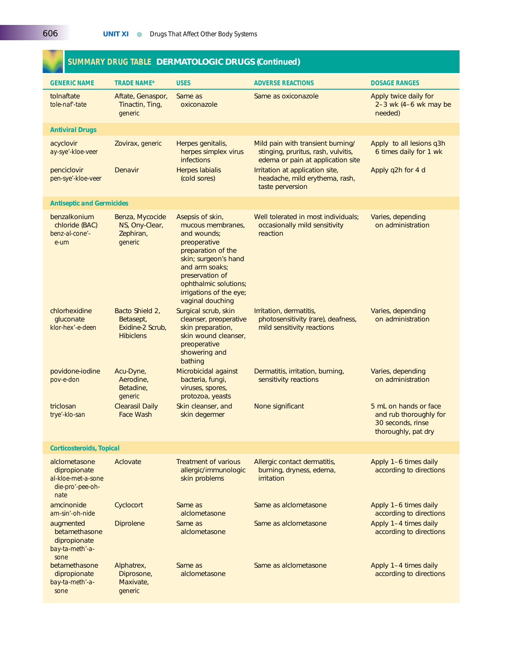| SUMMARY DRUG TABLE DERMATOLOGIC DRUGS (Continued)                               |                                                                      |                                                                                                                                                                                                                                 |                                                                                                                                                                                                        |                                                                                             |
|---------------------------------------------------------------------------------|----------------------------------------------------------------------|---------------------------------------------------------------------------------------------------------------------------------------------------------------------------------------------------------------------------------|--------------------------------------------------------------------------------------------------------------------------------------------------------------------------------------------------------|---------------------------------------------------------------------------------------------|
| <b>GENERIC NAME</b>                                                             | <b>TRADE NAME*</b>                                                   | <b>USES</b>                                                                                                                                                                                                                     | <b>ADVERSE REACTIONS</b>                                                                                                                                                                               | <b>DOSAGE RANGES</b>                                                                        |
| tolnaftate<br>tole-naf'-tate                                                    | Aftate, Genaspor,<br>Tinactin, Ting,<br>generic                      | Same as<br>oxiconazole                                                                                                                                                                                                          | Same as oxiconazole                                                                                                                                                                                    | Apply twice daily for<br>$2-3$ wk (4-6 wk may be<br>needed)                                 |
| <b>Antiviral Drugs</b>                                                          |                                                                      |                                                                                                                                                                                                                                 |                                                                                                                                                                                                        |                                                                                             |
| acyclovir<br>ay-sye'-kloe-veer<br>penciclovir<br>pen-sye'-kloe-veer             | Zovirax, generic<br>Denavir                                          | Herpes genitalis,<br>herpes simplex virus<br>infections<br><b>Herpes labialis</b><br>(cold sores)                                                                                                                               | Mild pain with transient burning/<br>stinging, pruritus, rash, vulvitis,<br>edema or pain at application site<br>Irritation at application site,<br>headache, mild erythema, rash,<br>taste perversion | Apply to all lesions q3h<br>6 times daily for 1 wk<br>Apply q2h for 4 d                     |
| <b>Antiseptic and Germicides</b>                                                |                                                                      |                                                                                                                                                                                                                                 |                                                                                                                                                                                                        |                                                                                             |
|                                                                                 |                                                                      |                                                                                                                                                                                                                                 |                                                                                                                                                                                                        |                                                                                             |
| benzalkonium<br>chloride (BAC)<br>benz-al-cone'-<br>$e$ -um                     | Benza, Mycocide<br>NS, Ony-Clear,<br>Zephiran,<br>generic            | Asepsis of skin,<br>mucous membranes,<br>and wounds;<br>preoperative<br>preparation of the<br>skin; surgeon's hand<br>and arm soaks;<br>preservation of<br>ophthalmic solutions;<br>irrigations of the eye;<br>vaginal douching | Well tolerated in most individuals;<br>occasionally mild sensitivity<br>reaction                                                                                                                       | Varies, depending<br>on administration                                                      |
| chlorhexidine<br>gluconate<br>klor-hex'-e-deen                                  | Bacto Shield 2,<br>Betasept,<br>Exidine-2 Scrub,<br><b>Hibiclens</b> | Surgical scrub, skin<br>cleanser, preoperative<br>skin preparation,<br>skin wound cleanser,<br>preoperative<br>showering and<br>bathing                                                                                         | Irritation, dermatitis,<br>photosensitivity (rare), deafness,<br>mild sensitivity reactions                                                                                                            | Varies, depending<br>on administration                                                      |
| povidone-iodine<br>pov-e-don                                                    | Acu-Dyne,<br>Aerodine,<br>Betadine,<br>generic                       | Microbicidal against<br>bacteria, fungi,<br>viruses, spores,<br>protozoa, yeasts                                                                                                                                                | Dermatitis, irritation, burning,<br>sensitivity reactions                                                                                                                                              | Varies, depending<br>on administration                                                      |
| triclosan<br>trye'-klo-san                                                      | <b>Clearasil Daily</b><br><b>Face Wash</b>                           | Skin cleanser, and<br>skin degermer                                                                                                                                                                                             | None significant                                                                                                                                                                                       | 5 mL on hands or face<br>and rub thoroughly for<br>30 seconds, rinse<br>thoroughly, pat dry |
| <b>Corticosteroids, Topical</b>                                                 |                                                                      |                                                                                                                                                                                                                                 |                                                                                                                                                                                                        |                                                                                             |
| alclometasone<br>dipropionate<br>al-kloe-met-a-sone<br>die-pro'-pee-oh-<br>nate | Aclovate                                                             | Treatment of various<br>allergic/immunologic<br>skin problems                                                                                                                                                                   | Allergic contact dermatitis,<br>burning, dryness, edema,<br><i>irritation</i>                                                                                                                          | Apply 1-6 times daily<br>according to directions                                            |
| amcinonide<br>am-sin'-oh-nide                                                   | Cyclocort                                                            | Same as<br>alclometasone                                                                                                                                                                                                        | Same as alclometasone                                                                                                                                                                                  | Apply 1-6 times daily<br>according to directions                                            |
| augmented<br>betamethasone<br>dipropionate<br>bay-ta-meth'-a-<br>sone           | <b>Diprolene</b>                                                     | Same as<br>alclometasone                                                                                                                                                                                                        | Same as alclometasone                                                                                                                                                                                  | Apply 1-4 times daily<br>according to directions                                            |
| betamethasone<br>dipropionate<br>bay-ta-meth'-a-<br>sone                        | Alphatrex,<br>Diprosone,<br>Maxivate,<br>generic                     | Same as<br>alclometasone                                                                                                                                                                                                        | Same as alclometasone                                                                                                                                                                                  | Apply 1-4 times daily<br>according to directions                                            |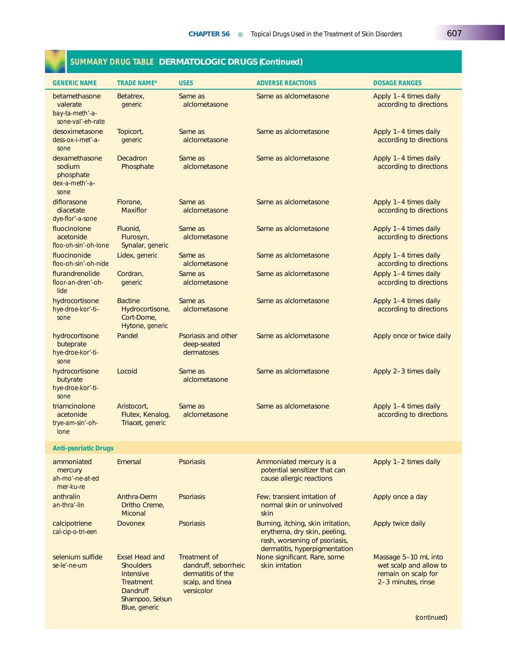# **SUMMARY DRUG TABLE DERMATOLOGIC DRUGS (***Continued***)**

| <b>GENERIC NAME</b>                                               | <b>TRADE NAME*</b>                                                                                                                       | <b>USES</b>                                                                                 | <b>ADVERSE REACTIONS</b>                                                                                                             | <b>DOSAGE RANGES</b>                                                                        |
|-------------------------------------------------------------------|------------------------------------------------------------------------------------------------------------------------------------------|---------------------------------------------------------------------------------------------|--------------------------------------------------------------------------------------------------------------------------------------|---------------------------------------------------------------------------------------------|
| betamethasone<br>valerate<br>bay-ta-meth'-a-<br>sone-val'-eh-rate | Betatrex,<br>generic                                                                                                                     | Same as<br>alclometasone                                                                    | Same as alclometasone                                                                                                                | Apply 1-4 times daily<br>according to directions                                            |
| desoximetasone<br>dess-ox-i-met'-a-<br>sone                       | Topicort,<br>generic                                                                                                                     | Same as<br>alclometasone                                                                    | Same as alclometasone                                                                                                                | Apply 1-4 times daily<br>according to directions                                            |
| dexamethasone<br>sodium<br>phosphate<br>dex-a-meth'-a-<br>sone    | Decadron<br>Phosphate                                                                                                                    | Same as<br>alclometasone                                                                    | Same as alclometasone                                                                                                                | Apply 1-4 times daily<br>according to directions                                            |
| diflorasone<br>diacetate<br>dye-flor'-a-sone                      | Florone,<br><b>Maxiflor</b>                                                                                                              | Same as<br>alclometasone                                                                    | Same as alclometasone                                                                                                                | Apply 1-4 times daily<br>according to directions                                            |
| fluocinolone<br>acetonide<br>floo-oh-sin'-oh-lone                 | Fluonid,<br>Flurosyn,<br>Synalar, generic                                                                                                | Same as<br>alclometasone                                                                    | Same as alclometasone                                                                                                                | Apply 1-4 times daily<br>according to directions                                            |
| fluocinonide<br>floo-oh-sin'-oh-nide                              | Lidex, generic                                                                                                                           | Same as<br>alclometasone                                                                    | Same as alclometasone                                                                                                                | Apply 1-4 times daily<br>according to directions                                            |
| flurandrenolide<br>floor-an-dren'-oh-<br>lide                     | Cordran,<br>generic                                                                                                                      | Same as<br>alclometasone                                                                    | Same as alclometasone                                                                                                                | Apply 1-4 times daily<br>according to directions                                            |
| hydrocortisone<br>hye-droe-kor'-ti-<br>sone                       | <b>Bactine</b><br>Hydrocortisone,<br>Cort-Dome,<br>Hytone, generic                                                                       | Same as<br>alclometasone                                                                    | Same as alclometasone                                                                                                                | Apply 1-4 times daily<br>according to directions                                            |
| hydrocortisone<br>buteprate<br>hye-droe-kor'-ti-<br>sone          | Pandel                                                                                                                                   | Psoriasis and other<br>deep-seated<br>dermatoses                                            | Same as alclometasone                                                                                                                | Apply once or twice daily                                                                   |
| hydrocortisone<br>butyrate<br>hye-droe-kor'-ti-<br>sone           | Locoid                                                                                                                                   | Same as<br>alclometasone                                                                    | Same as alclometasone                                                                                                                | Apply 2-3 times daily                                                                       |
| triamcinolone<br>acetonide<br>trye-am-sin'-oh-<br>lone            | Aristocort,<br>Flutex, Kenalog,<br>Triacet, generic                                                                                      | Same as<br>alclometasone                                                                    | Same as alclometasone                                                                                                                | Apply 1-4 times daily<br>according to directions                                            |
| <b>Anti-psoriatic Drugs</b>                                       |                                                                                                                                          |                                                                                             |                                                                                                                                      |                                                                                             |
| ammoniated<br>mercury<br>ah-mo'-ne-at-ed<br>mer-ku-re             | Emersal                                                                                                                                  | <b>Psoriasis</b>                                                                            | Ammoniated mercury is a<br>potential sensitizer that can<br>cause allergic reactions                                                 | Apply 1-2 times daily                                                                       |
| anthralin<br>an-thra'-lin                                         | <b>Anthra-Derm</b><br>Dritho Creme,<br><b>Miconal</b>                                                                                    | <b>Psoriasis</b>                                                                            | Few: transient irritation of<br>normal skin or uninvolved<br>skin                                                                    | Apply once a day                                                                            |
| calcipotriene<br>cal-cip-o-tri-een                                | <b>Dovonex</b>                                                                                                                           | <b>Psoriasis</b>                                                                            | Burning, itching, skin irritation,<br>erythema, dry skin, peeling,<br>rash, worsening of psoriasis,<br>dermatitis, hyperpigmentation | Apply twice daily                                                                           |
| selenium sulfide<br>se-le'-ne-um                                  | <b>Exsel Head and</b><br><b>Shoulders</b><br><b>Intensive</b><br><b>Treatment</b><br><b>Dandruff</b><br>Shampoo, Selsun<br>Blue, generic | Treatment of<br>dandruff, seborrheic<br>dermatitis of the<br>scalp, and tinea<br>versicolor | None significant. Rare, some<br>skin irritation                                                                                      | Massage 5-10 mL into<br>wet scalp and allow to<br>remain on scalp for<br>2-3 minutes, rinse |

(*continued*)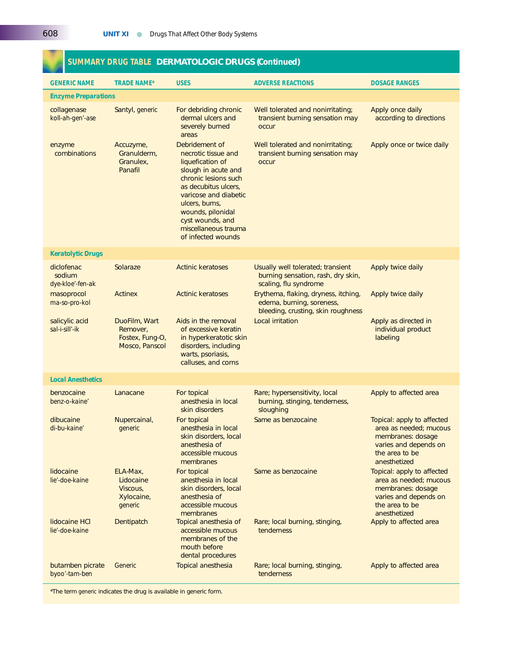# **SUMMARY DRUG TABLE DERMATOLOGIC DRUGS (***Continued***)**

| <b>GENERIC NAME</b>                      | <b>TRADE NAME*</b>                                             | <b>USES</b>                                                                                                                                                                                                                                                        | <b>ADVERSE REACTIONS</b>                                                                                | <b>DOSAGE RANGES</b>                                                                                                                 |
|------------------------------------------|----------------------------------------------------------------|--------------------------------------------------------------------------------------------------------------------------------------------------------------------------------------------------------------------------------------------------------------------|---------------------------------------------------------------------------------------------------------|--------------------------------------------------------------------------------------------------------------------------------------|
| <b>Enzyme Preparations</b>               |                                                                |                                                                                                                                                                                                                                                                    |                                                                                                         |                                                                                                                                      |
| collagenase<br>koll-ah-gen'-ase          | Santyl, generic                                                | For debriding chronic<br>dermal ulcers and<br>severely burned<br>areas                                                                                                                                                                                             | Well tolerated and nonirritating;<br>transient burning sensation may<br>occur                           | Apply once daily<br>according to directions                                                                                          |
| enzyme<br>combinations                   | Accuzyme,<br>Granulderm.<br>Granulex.<br>Panafil               | Debridement of<br>necrotic tissue and<br>liquefication of<br>slough in acute and<br>chronic lesions such<br>as decubitus ulcers,<br>varicose and diabetic<br>ulcers, burns,<br>wounds, pilonidal<br>cyst wounds, and<br>miscellaneous trauma<br>of infected wounds | Well tolerated and nonirritating;<br>transient burning sensation may<br>occur                           | Apply once or twice daily                                                                                                            |
| <b>Keratolytic Drugs</b>                 |                                                                |                                                                                                                                                                                                                                                                    |                                                                                                         |                                                                                                                                      |
| diclofenac<br>sodium<br>dye-kloe'-fen-ak | Solaraze                                                       | <b>Actinic keratoses</b>                                                                                                                                                                                                                                           | Usually well tolerated; transient<br>burning sensation, rash, dry skin,<br>scaling, flu syndrome        | Apply twice daily                                                                                                                    |
| masoprocol<br>ma-so-pro-kol              | <b>Actinex</b>                                                 | <b>Actinic keratoses</b>                                                                                                                                                                                                                                           | Erythema, flaking, dryness, itching,<br>edema, burning, soreness,<br>bleeding, crusting, skin roughness | Apply twice daily                                                                                                                    |
| salicylic acid<br>sal-i-sill'-ik         | DuoFilm, Wart<br>Remover,<br>Fostex, Fung-O,<br>Mosco, Panscol | Aids in the removal<br>of excessive keratin<br>in hyperkeratotic skin<br>disorders, including<br>warts, psoriasis,<br>calluses, and corns                                                                                                                          | <b>Local irritation</b>                                                                                 | Apply as directed in<br>individual product<br>labeling                                                                               |
| <b>Local Anesthetics</b>                 |                                                                |                                                                                                                                                                                                                                                                    |                                                                                                         |                                                                                                                                      |
| benzocaine<br>benz-o-kaine'              | Lanacane                                                       | For topical<br>anesthesia in local<br>skin disorders                                                                                                                                                                                                               | Rare; hypersensitivity, local<br>burning, stinging, tenderness,<br>sloughing                            | Apply to affected area                                                                                                               |
| dibucaine<br>di-bu-kaine'                | Nupercainal,<br>generic                                        | For topical<br>anesthesia in local<br>skin disorders, local<br>anesthesia of<br>accessible mucous<br>membranes                                                                                                                                                     | Same as benzocaine                                                                                      | Topical: apply to affected<br>area as needed; mucous<br>membranes: dosage<br>varies and depends on<br>the area to be<br>anesthetized |
| lidocaine<br>lie'-doe-kaine              | ELA-Max,<br>Lidocaine<br>Viscous,<br>Xylocaine,<br>generic     | For topical<br>anesthesia in local<br>skin disorders, local<br>anesthesia of<br>accessible mucous<br>membranes                                                                                                                                                     | Same as benzocaine                                                                                      | Topical: apply to affected<br>area as needed; mucous<br>membranes: dosage<br>varies and depends on<br>the area to be<br>anesthetized |
| lidocaine HCI<br>lie'-doe-kaine          | Dentipatch                                                     | Topical anesthesia of<br>accessible mucous<br>membranes of the<br>mouth before<br>dental procedures                                                                                                                                                                | Rare; local burning, stinging,<br>tenderness                                                            | Apply to affected area                                                                                                               |
| butamben picrate<br>byoo'-tam-ben        | Generic                                                        | <b>Topical anesthesia</b>                                                                                                                                                                                                                                          | Rare; local burning, stinging,<br>tenderness                                                            | Apply to affected area                                                                                                               |

\*The term *generic* indicates the drug is available in generic form.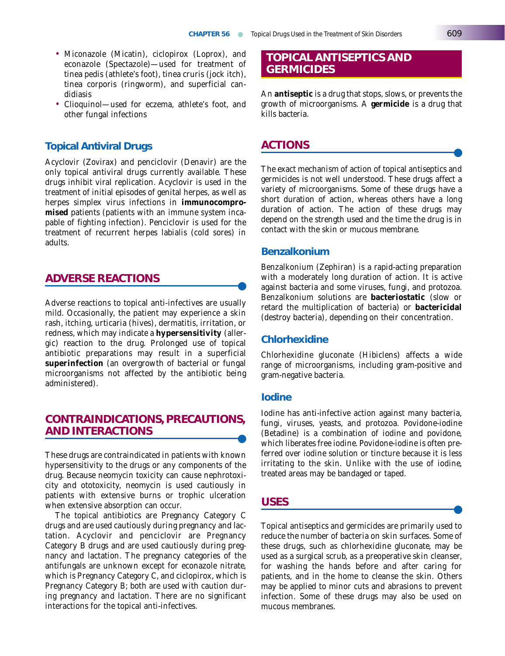- Miconazole (Micatin), ciclopirox (Loprox), and econazole (Spectazole)—used for treatment of tinea pedis (athlete's foot), tinea cruris (jock itch), tinea corporis (ringworm), and superficial candidiasis
- Clioquinol—used for eczema, athlete's foot, and other fungal infections

#### **Topical Antiviral Drugs**

Acyclovir (Zovirax) and penciclovir (Denavir) are the only topical antiviral drugs currently available. These drugs inhibit viral replication. Acyclovir is used in the treatment of initial episodes of genital herpes, as well as herpes simplex virus infections in **immunocompromised** patients (patients with an immune system incapable of fighting infection). Penciclovir is used for the treatment of recurrent herpes labialis (cold sores) in adults.

# **ADVERSE REACTIONS** ●

Adverse reactions to topical anti-infectives are usually mild. Occasionally, the patient may experience a skin rash, itching, urticaria (hives), dermatitis, irritation, or redness, which may indicate a **hypersensitivity** (allergic) reaction to the drug. Prolonged use of topical antibiotic preparations may result in a superficial **superinfection** (an overgrowth of bacterial or fungal microorganisms not affected by the antibiotic being administered).

# **CONTRAINDICATIONS, PRECAUTIONS, AND INTERACTIONS**

These drugs are contraindicated in patients with known hypersensitivity to the drugs or any components of the drug. Because neomycin toxicity can cause nephrotoxicity and ototoxicity, neomycin is used cautiously in patients with extensive burns or trophic ulceration when extensive absorption can occur.

The topical antibiotics are Pregnancy Category C drugs and are used cautiously during pregnancy and lactation. Acyclovir and penciclovir are Pregnancy Category B drugs and are used cautiously during pregnancy and lactation. The pregnancy categories of the antifungals are unknown except for econazole nitrate, which is Pregnancy Category C, and ciclopirox, which is Pregnancy Category B; both are used with caution during pregnancy and lactation. There are no significant interactions for the topical anti-infectives.

#### **TOPICAL ANTISEPTICS AND GERMICIDES**

An **antiseptic** is a drug that stops, slows, or prevents the growth of microorganisms. A **germicide** is a drug that kills bacteria.

#### **ACTIONS** ●

The exact mechanism of action of topical antiseptics and germicides is not well understood. These drugs affect a variety of microorganisms. Some of these drugs have a short duration of action, whereas others have a long duration of action. The action of these drugs may depend on the strength used and the time the drug is in contact with the skin or mucous membrane.

#### **Benzalkonium**

Benzalkonium (Zephiran) is a rapid-acting preparation with a moderately long duration of action. It is active against bacteria and some viruses, fungi, and protozoa. Benzalkonium solutions are **bacteriostatic** (slow or retard the multiplication of bacteria) or **bactericidal** (destroy bacteria), depending on their concentration.

#### **Chlorhexidine**

Chlorhexidine gluconate (Hibiclens) affects a wide range of microorganisms, including gram-positive and gram-negative bacteria.

#### **Iodine**

Iodine has anti-infective action against many bacteria, fungi, viruses, yeasts, and protozoa. Povidone-iodine (Betadine) is a combination of iodine and povidone, which liberates free iodine. Povidone-iodine is often preferred over iodine solution or tincture because it is less irritating to the skin. Unlike with the use of iodine, treated areas may be bandaged or taped.

# —————————————<del>—————</del>

Topical antiseptics and germicides are primarily used to reduce the number of bacteria on skin surfaces. Some of these drugs, such as chlorhexidine gluconate, may be used as a surgical scrub, as a preoperative skin cleanser, for washing the hands before and after caring for patients, and in the home to cleanse the skin. Others may be applied to minor cuts and abrasions to prevent infection. Some of these drugs may also be used on mucous membranes.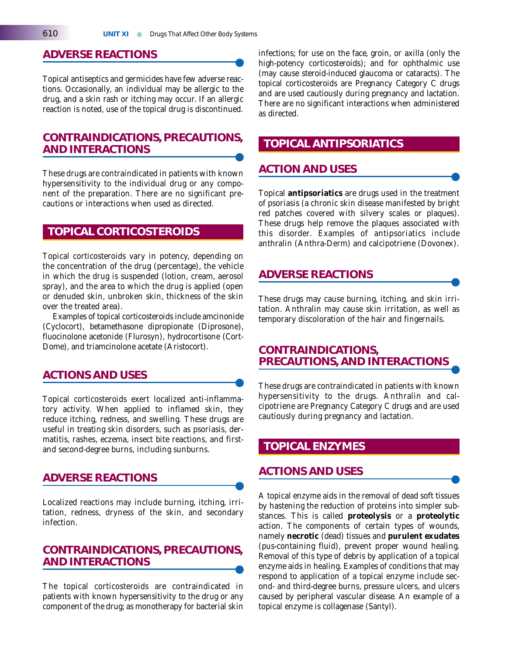# **ADVERSE REACTIONS**

Topical antiseptics and germicides have few adverse reactions. Occasionally, an individual may be allergic to the drug, and a skin rash or itching may occur. If an allergic reaction is noted, use of the topical drug is discontinued.

# **CONTRAINDICATIONS, PRECAUTIONS, AND INTERACTIONS**

These drugs are contraindicated in patients with known hypersensitivity to the individual drug or any component of the preparation. There are no significant precautions or interactions when used as directed.

# **TOPICAL CORTICOSTEROIDS**

Topical corticosteroids vary in potency, depending on the concentration of the drug (percentage), the vehicle in which the drug is suspended (lotion, cream, aerosol spray), and the area to which the drug is applied (open or denuded skin, unbroken skin, thickness of the skin over the treated area).

Examples of topical corticosteroids include amcinonide (Cyclocort), betamethasone dipropionate (Diprosone), fluocinolone acetonide (Flurosyn), hydrocortisone (Cort-Dome), and triamcinolone acetate (Aristocort).

# **ACTIONS AND USES**

Topical corticosteroids exert localized anti-inflammatory activity. When applied to inflamed skin, they reduce itching, redness, and swelling. These drugs are useful in treating skin disorders, such as psoriasis, dermatitis, rashes, eczema, insect bite reactions, and firstand second-degree burns, including sunburns.

# **ADVERSE REACTIONS** ●

Localized reactions may include burning, itching, irritation, redness, dryness of the skin, and secondary infection.

# **CONTRAINDICATIONS, PRECAUTIONS, AND INTERACTIONS** ●

The topical corticosteroids are contraindicated in patients with known hypersensitivity to the drug or any component of the drug; as monotherapy for bacterial skin infections; for use on the face, groin, or axilla (only the high-potency corticosteroids); and for ophthalmic use (may cause steroid-induced glaucoma or cataracts). The topical corticosteroids are Pregnancy Category C drugs and are used cautiously during pregnancy and lactation. There are no significant interactions when administered as directed.

# **TOPICAL ANTIPSORIATICS**

#### **ACTION AND USES** ●

Topical **antipsoriatics** are drugs used in the treatment of psoriasis (a chronic skin disease manifested by bright red patches covered with silvery scales or plaques). These drugs help remove the plaques associated with this disorder. Examples of antipsoriatics include anthralin (Anthra-Derm) and calcipotriene (Dovonex).

#### **ADVERSE REACTIONS** ●

These drugs may cause burning, itching, and skin irritation. Anthralin may cause skin irritation, as well as temporary discoloration of the hair and fingernails.

# **CONTRAINDICATIONS, PRECAUTIONS, AND INTERACTIONS**

These drugs are contraindicated in patients with known hypersensitivity to the drugs. Anthralin and calcipotriene are Pregnancy Category C drugs and are used cautiously during pregnancy and lactation.

# **TOPICAL ENZYMES**

#### **ACTIONS AND USES** ●

A topical enzyme aids in the removal of dead soft tissues by hastening the reduction of proteins into simpler substances. This is called **proteolysis** or a **proteolytic** action. The components of certain types of wounds, namely **necrotic** (dead) tissues and **purulent exudates** (pus-containing fluid), prevent proper wound healing. Removal of this type of debris by application of a topical enzyme aids in healing. Examples of conditions that may respond to application of a topical enzyme include second- and third-degree burns, pressure ulcers, and ulcers caused by peripheral vascular disease. An example of a topical enzyme is collagenase (Santyl).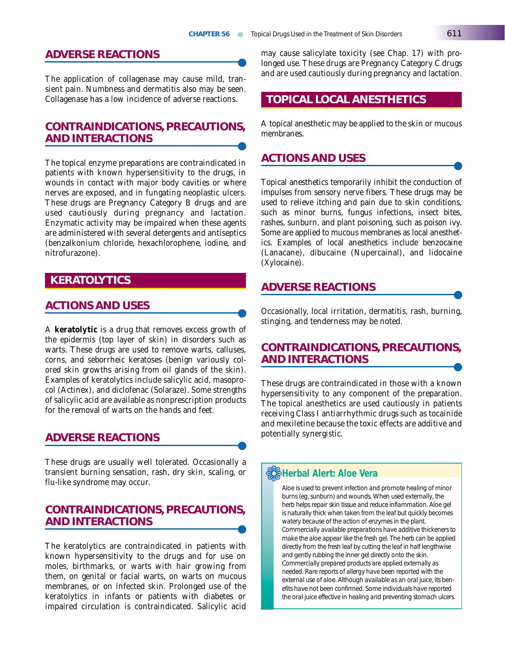# **ADVERSE REACTIONS** ●

The application of collagenase may cause mild, transient pain. Numbness and dermatitis also may be seen. Collagenase has a low incidence of adverse reactions.

# **CONTRAINDICATIONS, PRECAUTIONS, AND INTERACTIONS**

The topical enzyme preparations are contraindicated in patients with known hypersensitivity to the drugs, in wounds in contact with major body cavities or where nerves are exposed, and in fungating neoplastic ulcers. These drugs are Pregnancy Category B drugs and are used cautiously during pregnancy and lactation. Enzymatic activity may be impaired when these agents are administered with several detergents and antiseptics (benzalkonium chloride, hexachlorophene, iodine, and nitrofurazone).

# **KERATOLYTICS**

#### **ACTIONS AND USES**

A **keratolytic** is a drug that removes excess growth of the epidermis (top layer of skin) in disorders such as warts. These drugs are used to remove warts, calluses, corns, and seborrheic keratoses (benign variously colored skin growths arising from oil glands of the skin). Examples of keratolytics include salicylic acid, masoprocol (Actinex), and diclofenac (Solaraze). Some strengths of salicylic acid are available as nonprescription products for the removal of warts on the hands and feet.

#### **ADVERSE REACTIONS** ●

These drugs are usually well tolerated. Occasionally a transient burning sensation, rash, dry skin, scaling, or flu-like syndrome may occur.

# **CONTRAINDICATIONS, PRECAUTIONS, AND INTERACTIONS**

The keratolytics are contraindicated in patients with known hypersensitivity to the drugs and for use on moles, birthmarks, or warts with hair growing from them, on genital or facial warts, on warts on mucous membranes, or on infected skin. Prolonged use of the keratolytics in infants or patients with diabetes or impaired circulation is contraindicated. Salicylic acid

may cause salicylate toxicity (see Chap. 17) with prolonged use. These drugs are Pregnancy Category C drugs and are used cautiously during pregnancy and lactation.

# **TOPICAL LOCAL ANESTHETICS**

A topical anesthetic may be applied to the skin or mucous membranes.

#### **ACTIONS AND USES** ●

Topical anesthetics temporarily inhibit the conduction of impulses from sensory nerve fibers. These drugs may be used to relieve itching and pain due to skin conditions, such as minor burns, fungus infections, insect bites, rashes, sunburn, and plant poisoning, such as poison ivy. Some are applied to mucous membranes as local anesthetics. Examples of local anesthetics include benzocaine (Lanacane), dibucaine (Nupercainal), and lidocaine (Xylocaine).

# **ADVERSE REACTIONS** ●

Occasionally, local irritation, dermatitis, rash, burning, stinging, and tenderness may be noted.

# **CONTRAINDICATIONS, PRECAUTIONS, AND INTERACTIONS** ●

These drugs are contraindicated in those with a known hypersensitivity to any component of the preparation. The topical anesthetics are used cautiously in patients receiving Class I antiarrhythmic drugs such as tocainide and mexiletine because the toxic effects are additive and potentially synergistic.

# ❁**Herbal Alert: Aloe Vera**

*Aloe is used to prevent infection and promote healing of minor burns (eg, sunburn) and wounds. When used externally, the herb helps repair skin tissue and reduce inflammation. Aloe gel is naturally thick when taken from the leaf but quickly becomes watery because of the action of enzymes in the plant. Commercially available preparations have additive thickeners to make the aloe appear like the fresh gel. The herb can be applied directly from the fresh leaf by cutting the leaf in half lengthwise and gently rubbing the inner gel directly onto the skin. Commercially prepared products are applied externally as needed. Rare reports of allergy have been reported with the external use of aloe. Although available as an oral juice, its benefits have not been confirmed. Some individuals have reported the oral juice effective in healing and preventing stomach ulcers.*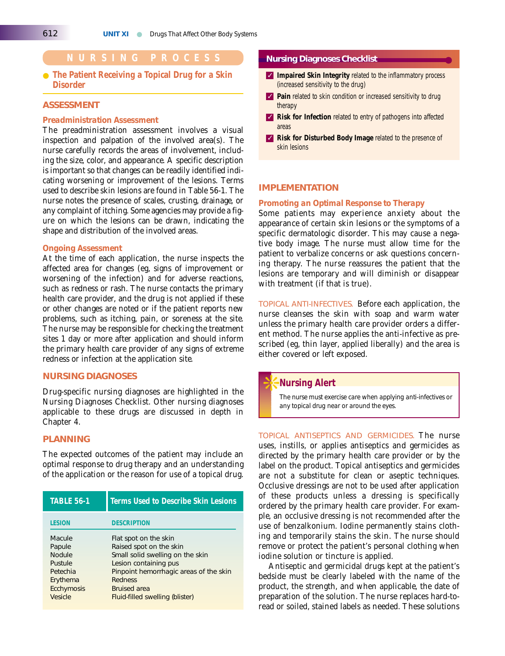● **The Patient Receiving a Topical Drug for a Skin Disorder**

#### **ASSESSMENT**

#### *Preadministration Assessment*

The preadministration assessment involves a visual inspection and palpation of the involved area(s). The nurse carefully records the areas of involvement, including the size, color, and appearance. A specific description is important so that changes can be readily identified indicating worsening or improvement of the lesions. Terms used to describe skin lesions are found in Table 56-1. The nurse notes the presence of scales, crusting, drainage, or any complaint of itching. Some agencies may provide a figure on which the lesions can be drawn, indicating the shape and distribution of the involved areas.

#### *Ongoing Assessment*

At the time of each application, the nurse inspects the affected area for changes (eg, signs of improvement or worsening of the infection) and for adverse reactions, such as redness or rash. The nurse contacts the primary health care provider, and the drug is not applied if these or other changes are noted or if the patient reports new problems, such as itching, pain, or soreness at the site. The nurse may be responsible for checking the treatment sites 1 day or more after application and should inform the primary health care provider of any signs of extreme redness or infection at the application site.

#### **NURSING DIAGNOSES**

Drug-specific nursing diagnoses are highlighted in the Nursing Diagnoses Checklist. Other nursing diagnoses applicable to these drugs are discussed in depth in Chapter 4.

#### **PLANNING**

The expected outcomes of the patient may include an optimal response to drug therapy and an understanding of the application or the reason for use of a topical drug.

| <b>TABLE 56-1</b> | <b>Terms Used to Describe Skin Lesions</b> |
|-------------------|--------------------------------------------|
| <b>LESION</b>     | <b>DESCRIPTION</b>                         |
| Macule            | Flat spot on the skin                      |
| Papule            | Raised spot on the skin                    |
| <b>Nodule</b>     | Small solid swelling on the skin           |
| Pustule           | Lesion containing pus                      |
| Petechia          | Pinpoint hemorrhagic areas of the skin     |
| Erythema          | <b>Redness</b>                             |
| Ecchymosis        | <b>Bruised area</b>                        |
| Vesicle           | Fluid-filled swelling (blister)            |

#### **Nursing Diagnoses Checklist**

- ✓ **Impaired Skin Integrity** related to the inflammatory process (increased sensitivity to the drug)
- ✓ **Pain** related to skin condition or increased sensitivity to drug therapy
- ✓ **Risk for Infection** related to entry of pathogens into affected areas
- ✓ **Risk for Disturbed Body Image** related to the presence of skin lesions

#### **IMPLEMENTATION**

#### *Promoting an Optimal Response to Therapy*

Some patients may experience anxiety about the appearance of certain skin lesions or the symptoms of a specific dermatologic disorder. This may cause a negative body image. The nurse must allow time for the patient to verbalize concerns or ask questions concerning therapy. The nurse reassures the patient that the lesions are temporary and will diminish or disappear with treatment (if that is true).

TOPICAL ANTI-INFECTIVES. Before each application, the nurse cleanses the skin with soap and warm water unless the primary health care provider orders a different method. The nurse applies the anti-infective as prescribed (eg, thin layer, applied liberally) and the area is either covered or left exposed.

#### ❊**Nursing Alert**

*The nurse must exercise care when applying anti-infectives or any topical drug near or around the eyes.*

TOPICAL ANTISEPTICS AND GERMICIDES. The nurse uses, instills, or applies antiseptics and germicides as directed by the primary health care provider or by the label on the product. Topical antiseptics and germicides are not a substitute for clean or aseptic techniques. Occlusive dressings are not to be used after application of these products unless a dressing is specifically ordered by the primary health care provider. For example, an occlusive dressing is not recommended after the use of benzalkonium. Iodine permanently stains clothing and temporarily stains the skin. The nurse should remove or protect the patient's personal clothing when iodine solution or tincture is applied.

Antiseptic and germicidal drugs kept at the patient's bedside must be clearly labeled with the name of the product, the strength, and when applicable, the date of preparation of the solution. The nurse replaces hard-toread or soiled, stained labels as needed. These solutions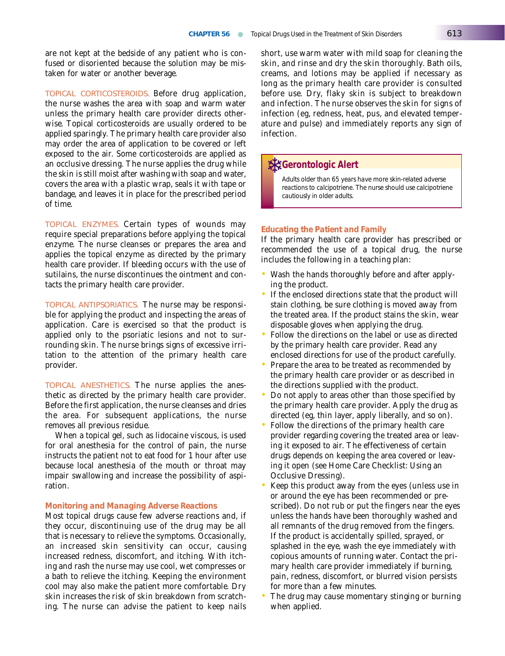are not kept at the bedside of any patient who is confused or disoriented because the solution may be mistaken for water or another beverage.

TOPICAL CORTICOSTEROIDS. Before drug application, the nurse washes the area with soap and warm water unless the primary health care provider directs otherwise. Topical corticosteroids are usually ordered to be applied sparingly. The primary health care provider also may order the area of application to be covered or left exposed to the air. Some corticosteroids are applied as an occlusive dressing. The nurse applies the drug while the skin is still moist after washing with soap and water, covers the area with a plastic wrap, seals it with tape or bandage, and leaves it in place for the prescribed period of time.

TOPICAL ENZYMES. Certain types of wounds may require special preparations before applying the topical enzyme. The nurse cleanses or prepares the area and applies the topical enzyme as directed by the primary health care provider. If bleeding occurs with the use of sutilains, the nurse discontinues the ointment and contacts the primary health care provider.

TOPICAL ANTIPSORIATICS. The nurse may be responsible for applying the product and inspecting the areas of application. Care is exercised so that the product is applied only to the psoriatic lesions and not to surrounding skin. The nurse brings signs of excessive irritation to the attention of the primary health care provider.

TOPICAL ANESTHETICS. The nurse applies the anesthetic as directed by the primary health care provider. Before the first application, the nurse cleanses and dries the area. For subsequent applications, the nurse removes all previous residue.

When a topical gel, such as lidocaine viscous, is used for oral anesthesia for the control of pain, the nurse instructs the patient not to eat food for 1 hour after use because local anesthesia of the mouth or throat may impair swallowing and increase the possibility of aspiration.

#### *Monitoring and Managing Adverse Reactions*

Most topical drugs cause few adverse reactions and, if they occur, discontinuing use of the drug may be all that is necessary to relieve the symptoms. Occasionally, an increased skin sensitivity can occur, causing increased redness, discomfort, and itching. With itching and rash the nurse may use cool, wet compresses or a bath to relieve the itching. Keeping the environment cool may also make the patient more comfortable. Dry skin increases the risk of skin breakdown from scratching. The nurse can advise the patient to keep nails short, use warm water with mild soap for cleaning the skin, and rinse and dry the skin thoroughly. Bath oils, creams, and lotions may be applied if necessary as long as the primary health care provider is consulted before use. Dry, flaky skin is subject to breakdown and infection. The nurse observes the skin for signs of infection (eg, redness, heat, pus, and elevated temperature and pulse) and immediately reports any sign of infection.

#### ❄**Gerontologic Alert**

*Adults older than 65 years have more skin-related adverse reactions to calcipotriene. The nurse should use calcipotriene cautiously in older adults.*

#### *Educating the Patient and Family*

If the primary health care provider has prescribed or recommended the use of a topical drug, the nurse includes the following in a teaching plan:

- Wash the hands thoroughly before and after applying the product.
- If the enclosed directions state that the product will stain clothing, be sure clothing is moved away from the treated area. If the product stains the skin, wear disposable gloves when applying the drug.
- Follow the directions on the label or use as directed by the primary health care provider. Read any enclosed directions for use of the product carefully.
- Prepare the area to be treated as recommended by the primary health care provider or as described in the directions supplied with the product.
- Do not apply to areas other than those specified by the primary health care provider. Apply the drug as directed (eg, thin layer, apply liberally, and so on).
- Follow the directions of the primary health care provider regarding covering the treated area or leaving it exposed to air. The effectiveness of certain drugs depends on keeping the area covered or leaving it open (see Home Care Checklist: Using an Occlusive Dressing).
- Keep this product away from the eyes (unless use in or around the eye has been recommended or prescribed). Do not rub or put the fingers near the eyes unless the hands have been thoroughly washed and all remnants of the drug removed from the fingers. If the product is accidentally spilled, sprayed, or splashed in the eye, wash the eye immediately with copious amounts of running water. Contact the primary health care provider immediately if burning, pain, redness, discomfort, or blurred vision persists for more than a few minutes.
- The drug may cause momentary stinging or burning when applied.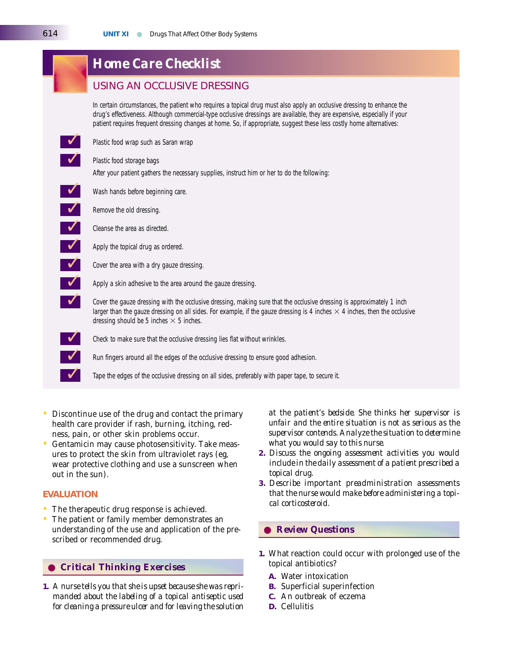# *Home Care Checklist*

# USING AN OCCLUSIVE DRESSING

In certain circumstances, the patient who requires a topical drug must also apply an occlusive dressing to enhance the drug's effectiveness. Although commercial-type occlusive dressings are available, they are expensive, especially if your patient requires frequent dressing changes at home. So, if appropriate, suggest these less costly home alternatives:

**O** Plastic food wrap such as Saran wrap Plastic food storage bags After your patient gathers the necessary supplies, instruct him or her to do the following: Wash hands before beginning care. Remove the old dressing. Cleanse the area as directed. Apply the topical drug as ordered. Cover the area with a dry gauze dressing. Apply a skin adhesive to the area around the gauze dressing. ✓ Cover the gauze dressing with the occlusive dressing, making sure that the occlusive dressing is approximately 1 inch larger than the gauze dressing on all sides. For example, if the gauze dressing is 4 inches  $\times$  4 inches, then the occlusive dressing should be 5 inches  $\times$  5 inches. Check to make sure that the occlusive dressing lies flat without wrinkles. ◯ Run fingers around all the edges of the occlusive dressing to ensure good adhesion.

 $\bigtriangledown$  Tape the edges of the occlusive dressing on all sides, preferably with paper tape, to secure it.

- Discontinue use of the drug and contact the primary health care provider if rash, burning, itching, redness, pain, or other skin problems occur.
- Gentamicin may cause photosensitivity. Take measures to protect the skin from ultraviolet rays (eg, wear protective clothing and use a sunscreen when out in the sun).

#### **EVALUATION**

- The therapeutic drug response is achieved.
- The patient or family member demonstrates an understanding of the use and application of the prescribed or recommended drug.

#### ● *Critical Thinking Exercises*

**1.** *A nurse tells you that she is upset because she was reprimanded about the labeling of a topical antiseptic used for cleaning a pressure ulcer and for leaving the solution*

*at the patient's bedside. She thinks her supervisor is unfair and the entire situation is not as serious as the supervisor contends. Analyze the situation to determine what you would say to this nurse.*

- **2.** *Discuss the ongoing assessment activities you would include in the daily assessment of a patient prescribed a topical drug.*
- **3.** *Describe important preadministration assessments that the nurse would make before administering a topical corticosteroid.*

#### ● *Review Questions*

- **1.** What reaction could occur with prolonged use of the topical antibiotics?
	- **A.** Water intoxication
	- **B.** Superficial superinfection
	- **C.** An outbreak of eczema
	- **D.** Cellulitis